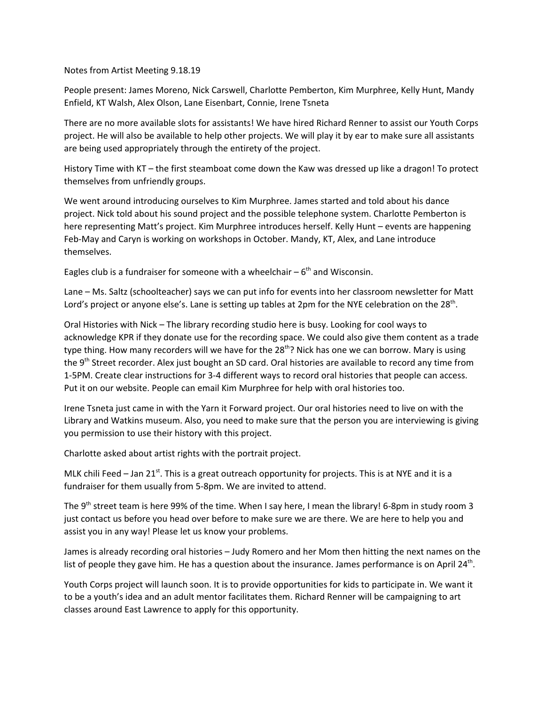Notes from Artist Meeting 9.18.19

People present: James Moreno, Nick Carswell, Charlotte Pemberton, Kim Murphree, Kelly Hunt, Mandy Enfield, KT Walsh, Alex Olson, Lane Eisenbart, Connie, Irene Tsneta

There are no more available slots for assistants! We have hired Richard Renner to assist our Youth Corps project. He will also be available to help other projects. We will play it by ear to make sure all assistants are being used appropriately through the entirety of the project.

History Time with KT – the first steamboat come down the Kaw was dressed up like a dragon! To protect themselves from unfriendly groups.

We went around introducing ourselves to Kim Murphree. James started and told about his dance project. Nick told about his sound project and the possible telephone system. Charlotte Pemberton is here representing Matt's project. Kim Murphree introduces herself. Kelly Hunt – events are happening Feb-May and Caryn is working on workshops in October. Mandy, KT, Alex, and Lane introduce themselves.

Eagles club is a fundraiser for someone with a wheelchair  $-6<sup>th</sup>$  and Wisconsin.

Lane – Ms. Saltz (schoolteacher) says we can put info for events into her classroom newsletter for Matt Lord's project or anyone else's. Lane is setting up tables at 2pm for the NYE celebration on the 28<sup>th</sup>.

Oral Histories with Nick – The library recording studio here is busy. Looking for cool ways to acknowledge KPR if they donate use for the recording space. We could also give them content as a trade type thing. How many recorders will we have for the 28<sup>th</sup>? Nick has one we can borrow. Mary is using the 9<sup>th</sup> Street recorder. Alex just bought an SD card. Oral histories are available to record any time from 1-5PM. Create clear instructions for 3-4 different ways to record oral histories that people can access. Put it on our website. People can email Kim Murphree for help with oral histories too.

Irene Tsneta just came in with the Yarn it Forward project. Our oral histories need to live on with the Library and Watkins museum. Also, you need to make sure that the person you are interviewing is giving you permission to use their history with this project.

Charlotte asked about artist rights with the portrait project.

MLK chili Feed  $-$  Jan 21<sup>st</sup>. This is a great outreach opportunity for projects. This is at NYE and it is a fundraiser for them usually from 5-8pm. We are invited to attend.

The 9<sup>th</sup> street team is here 99% of the time. When I say here, I mean the library! 6-8pm in study room 3 just contact us before you head over before to make sure we are there. We are here to help you and assist you in any way! Please let us know your problems.

James is already recording oral histories – Judy Romero and her Mom then hitting the next names on the list of people they gave him. He has a question about the insurance. James performance is on April 24<sup>th</sup>.

Youth Corps project will launch soon. It is to provide opportunities for kids to participate in. We want it to be a youth's idea and an adult mentor facilitates them. Richard Renner will be campaigning to art classes around East Lawrence to apply for this opportunity.